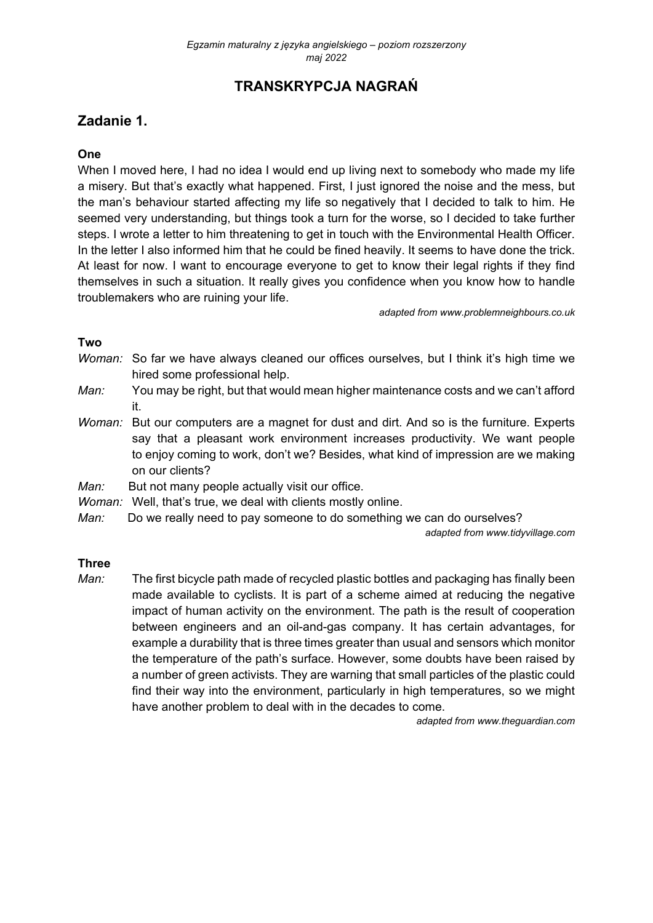# **TRANSKRYPCJA NAGRAŃ**

# **Zadanie 1.**

### **One**

When I moved here, I had no idea I would end up living next to somebody who made my life a misery. But that's exactly what happened. First, I just ignored the noise and the mess, but the man's behaviour started affecting my life so negatively that I decided to talk to him. He seemed very understanding, but things took a turn for the worse, so I decided to take further steps. I wrote a letter to him threatening to get in touch with the Environmental Health Officer. In the letter I also informed him that he could be fined heavily. It seems to have done the trick. At least for now. I want to encourage everyone to get to know their legal rights if they find themselves in such a situation. It really gives you confidence when you know how to handle troublemakers who are ruining your life.

*adapted from www.problemneighbours.co.uk* 

### **Two**

- *Woman:* So far we have always cleaned our offices ourselves, but I think it's high time we hired some professional help.
- *Man:* You may be right, but that would mean higher maintenance costs and we can't afford it.
- *Woman:* But our computers are a magnet for dust and dirt. And so is the furniture. Experts say that a pleasant work environment increases productivity. We want people to enjoy coming to work, don't we? Besides, what kind of impression are we making on our clients?
- *Man:* But not many people actually visit our office.
- *Woman:* Well, that's true, we deal with clients mostly online.
- *Man:* Do we really need to pay someone to do something we can do ourselves?

*adapted from www.tidyvillage.com* 

#### **Three**

*Man:* The first bicycle path made of recycled plastic bottles and packaging has finally been made available to cyclists. It is part of a scheme aimed at reducing the negative impact of human activity on the environment. The path is the result of cooperation between engineers and an oil-and-gas company. It has certain advantages, for example a durability that is three times greater than usual and sensors which monitor the temperature of the path's surface. However, some doubts have been raised by a number of green activists. They are warning that small particles of the plastic could find their way into the environment, particularly in high temperatures, so we might have another problem to deal with in the decades to come.

*adapted from www.theguardian.com*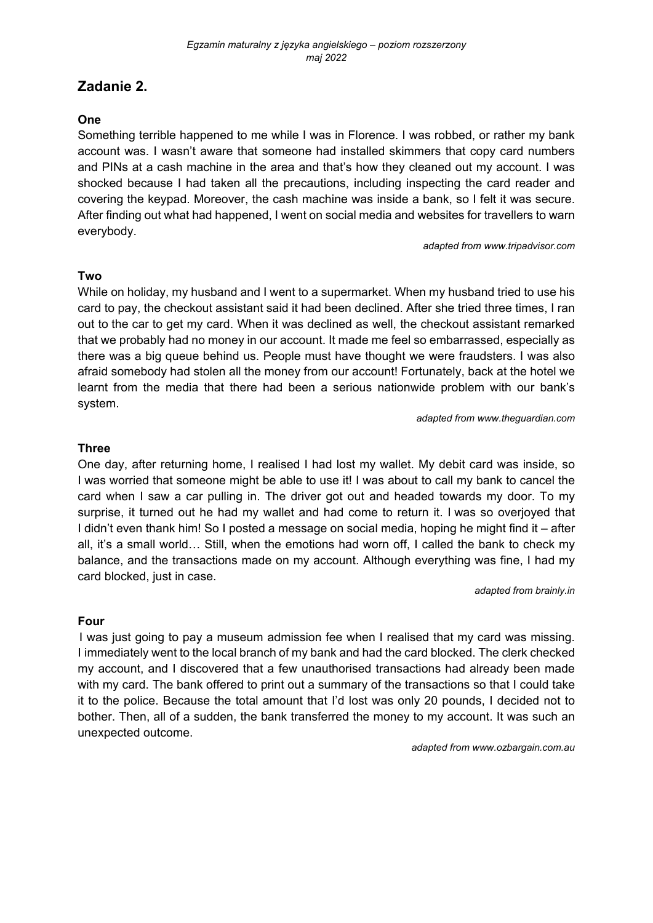# **Zadanie 2.**

### **One**

Something terrible happened to me while I was in Florence. I was robbed, or rather my bank account was. I wasn't aware that someone had installed skimmers that copy card numbers and PINs at a cash machine in the area and that's how they cleaned out my account. I was shocked because I had taken all the precautions, including inspecting the card reader and covering the keypad. Moreover, the cash machine was inside a bank, so I felt it was secure. After finding out what had happened, I went on social media and websites for travellers to warn everybody.

*adapted from www.tripadvisor.com* 

#### **Two**

While on holiday, my husband and I went to a supermarket. When my husband tried to use his card to pay, the checkout assistant said it had been declined. After she tried three times, I ran out to the car to get my card. When it was declined as well, the checkout assistant remarked that we probably had no money in our account. It made me feel so embarrassed, especially as there was a big queue behind us. People must have thought we were fraudsters. I was also afraid somebody had stolen all the money from our account! Fortunately, back at the hotel we learnt from the media that there had been a serious nationwide problem with our bank's system.

*adapted from www.theguardian.com* 

### **Three**

One day, after returning home, I realised I had lost my wallet. My debit card was inside, so I was worried that someone might be able to use it! I was about to call my bank to cancel the card when I saw a car pulling in. The driver got out and headed towards my door. To my surprise, it turned out he had my wallet and had come to return it. I was so overjoyed that I didn't even thank him! So I posted a message on social media, hoping he might find it – after all, it's a small world… Still, when the emotions had worn off, I called the bank to check my balance, and the transactions made on my account. Although everything was fine, I had my card blocked, just in case.

*adapted from brainly.in* 

#### **Four**

I was just going to pay a museum admission fee when I realised that my card was missing. I immediately went to the local branch of my bank and had the card blocked. The clerk checked my account, and I discovered that a few unauthorised transactions had already been made with my card. The bank offered to print out a summary of the transactions so that I could take it to the police. Because the total amount that I'd lost was only 20 pounds, I decided not to bother. Then, all of a sudden, the bank transferred the money to my account. It was such an unexpected outcome.

*adapted from www.ozbargain.com.au*